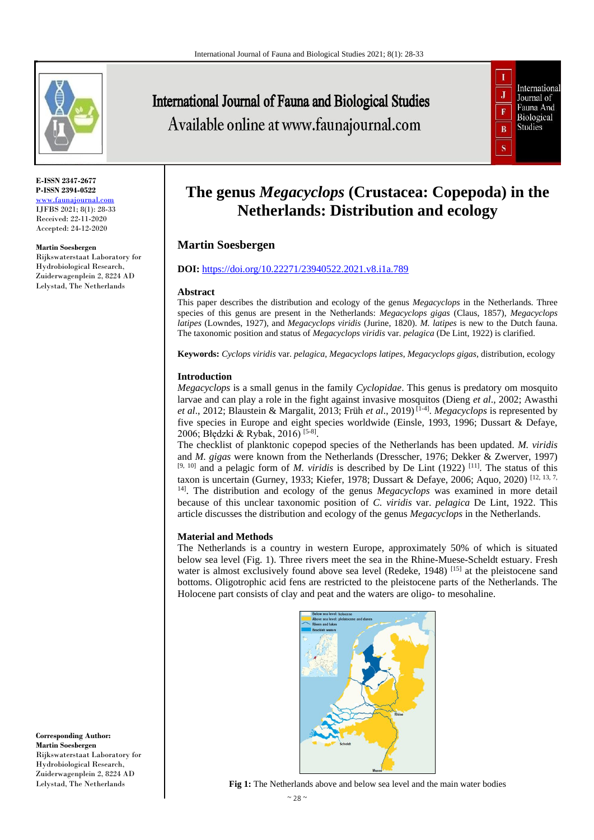

**E-ISSN 2347-2677 P-ISSN 2394-0522** [www.faunajournal.com](http://www.faunajournal.com/) IJFBS 2021; 8(1): 28-33 Received: 22-11-2020 Accepted: 24-12-2020

#### **Martin Soesbergen**

Rijkswaterstaat Laboratory for Hydrobiological Research, Zuiderwagenplein 2, 8224 AD Lelystad, The Netherlands

International Journal of Fauna and Biological Studies Available online at www.faunajournal.com



# **The genus** *Megacyclops* **(Crustacea: Copepoda) in the Netherlands: Distribution and ecology**

# **Martin Soesbergen**

## **DOI:** <https://doi.org/10.22271/23940522.2021.v8.i1a.789>

#### **Abstract**

This paper describes the distribution and ecology of the genus *Megacyclops* in the Netherlands. Three species of this genus are present in the Netherlands: *Megacyclops gigas* (Claus, 1857), *Megacyclops latipes* (Lowndes, 1927)*,* and *Megacyclops viridis* (Jurine, 1820). *M. latipes* is new to the Dutch fauna. The taxonomic position and status of *Megacyclops viridis* var. *pelagica* (De Lint, 1922) is clarified.

**Keywords:** *Cyclops viridis* var. *pelagica*, *Megacyclops latipes*, *Megacyclops gigas*, distribution, ecology

## **Introduction**

*Megacyclops* is a small genus in the family *Cyclopidae*. This genus is predatory om mosquito larvae and can play a role in the fight against invasive mosquitos (Dieng *et al*., 2002; Awasthi *et al*., 2012; Blaustein & Margalit, 2013; Früh *et al*., 2019) [1-4] . *Megacyclops* is represented by five species in Europe and eight species worldwide (Einsle, 1993, 1996; Dussart & Defaye, 2006; Błędzki & Rybak, 2016) [5-8].

The checklist of planktonic copepod species of the Netherlands has been updated. *M. viridis* and *M. gigas* were known from the Netherlands (Dresscher, 1976; Dekker & Zwerver, 1997) [9, 10] and a pelagic form of *M. viridis* is described by De Lint (1922) [11]. The status of this taxon is uncertain (Gurney, 1933; Kiefer, 1978; Dussart & Defaye, 2006; Aquo, 2020) [12, 13, 7, 14]. The distribution and ecology of the genus *Megacyclops* was examined in more detail because of this unclear taxonomic position of *C. viridis* var. *pelagica* De Lint, 1922. This article discusses the distribution and ecology of the genus *Megacyclops* in the Netherlands.

## **Material and Methods**

The Netherlands is a country in western Europe, approximately 50% of which is situated below sea level (Fig. 1). Three rivers meet the sea in the Rhine-Muese-Scheldt estuary. Fresh water is almost exclusively found above sea level (Redeke,  $1948$ ) [15] at the pleistocene sand bottoms. Oligotrophic acid fens are restricted to the pleistocene parts of the Netherlands. The Holocene part consists of clay and peat and the waters are oligo- to mesohaline.

**Corresponding Author: Martin Soesbergen** Rijkswaterstaat Laboratory for Hydrobiological Research, Zuiderwagenplein 2, 8224 AD Lelystad, The Netherlands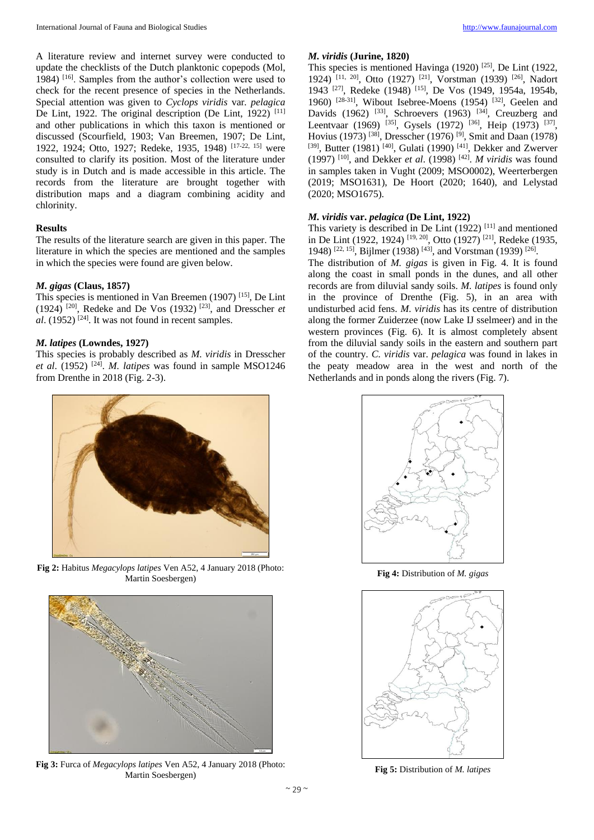A literature review and internet survey were conducted to update the checklists of the Dutch planktonic copepods (Mol, 1984) [16]. Samples from the author's collection were used to check for the recent presence of species in the Netherlands. Special attention was given to *Cyclops viridis* var*. pelagica* De Lint, 1922. The original description (De Lint, 1922)<sup>[11]</sup> and other publications in which this taxon is mentioned or discussed (Scourfield, 1903; Van Breemen, 1907; De Lint, 1922, 1924; Otto, 1927; Redeke, 1935, 1948) [17-22, 15] were consulted to clarify its position. Most of the literature under study is in Dutch and is made accessible in this article. The records from the literature are brought together with distribution maps and a diagram combining acidity and chlorinity.

## **Results**

The results of the literature search are given in this paper. The literature in which the species are mentioned and the samples in which the species were found are given below.

# *M. gigas* **(Claus, 1857)**

This species is mentioned in Van Breemen (1907) [15], De Lint (1924) [20], Redeke and De Vos (1932) [23], and Dresscher *et*   $al.$  (1952) <sup>[24]</sup>. It was not found in recent samples.

## *M. latipes* **(Lowndes, 1927)**

This species is probably described as *M. viridis* in Dresscher *et al*. (1952) [24] . *M. latipes* was found in sample MSO1246 from Drenthe in 2018 (Fig. 2-3).

## *M. viridis* **(Jurine, 1820)**

This species is mentioned Havinga (1920) [25], De Lint (1922, 1924) <sup>[11, 20]</sup>, Otto (1927) <sup>[21]</sup>, Vorstman (1939) <sup>[26]</sup>, Nadort 1943 [27], Redeke (1948) [15], De Vos (1949, 1954a, 1954b, 1960) [28-31], Wibout Isebree-Moens (1954) [32], Geelen and Davids (1962) <sup>[33]</sup>, Schroevers (1963) <sup>[34]</sup>, Creuzberg and Leentvaar (1969) <sup>[35]</sup>, Gysels (1972) <sup>[36]</sup>, Heip (1973) <sup>[37]</sup>, Hovius (1973) [38], Dresscher (1976) [9], Smit and Daan (1978) [39], Butter (1981)<sup>[40]</sup>, Gulati (1990)<sup>[41]</sup>, Dekker and Zwerver  $(1997)$ <sup>[10]</sup>, and Dekker *et al.* (1998)<sup>[42]</sup>. *M viridis* was found in samples taken in Vught (2009; MSO0002), Weerterbergen (2019; MSO1631), De Hoort (2020; 1640), and Lelystad (2020; MSO1675).

## *M. viridis* **var.** *pelagica* **(De Lint, 1922)**

This variety is described in De Lint (1922)  $[11]$  and mentioned in De Lint (1922, 1924) [19, 20], Otto (1927) [21], Redeke (1935, 1948) <sup>[22, 15]</sup>, Bijlmer (1938) <sup>[43]</sup>, and Vorstman (1939) <sup>[26]</sup>.

The distribution of *M. gigas* is given in Fig. 4. It is found along the coast in small ponds in the dunes, and all other records are from diluvial sandy soils. *M. latipes* is found only in the province of Drenthe (Fig. 5), in an area with undisturbed acid fens. *M. viridis* has its centre of distribution along the former Zuiderzee (now Lake IJ sselmeer) and in the western provinces (Fig. 6). It is almost completely absent from the diluvial sandy soils in the eastern and southern part of the country. *C. viridis* var. *pelagica* was found in lakes in the peaty meadow area in the west and north of the Netherlands and in ponds along the rivers (Fig. 7).



**Fig 2:** Habitus *Megacylops latipes* Ven A52, 4 January 2018 (Photo: Martin Soesbergen)



**Fig 3:** Furca of *Megacylops latipes* Ven A52, 4 January 2018 (Photo: Martin Soesbergen)



**Fig 4:** Distribution of *M. gigas*



**Fig 5:** Distribution of *M. latipes*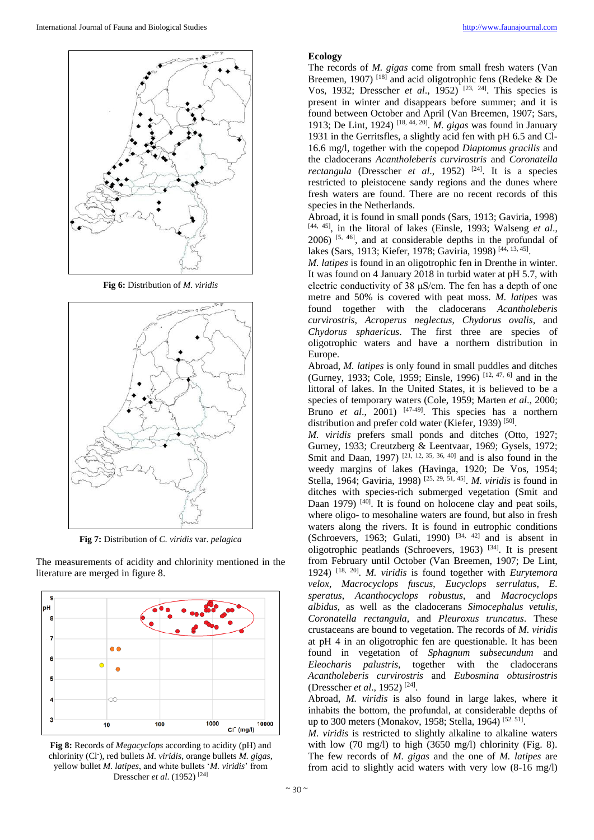

**Fig 6:** Distribution of *M. viridis*



**Fig 7:** Distribution of *C. viridis* var. *pelagica*

The measurements of acidity and chlorinity mentioned in the literature are merged in figure 8.



**Fig 8:** Records of *Megacyclops* according to acidity (pH) and chlorinity (Cl- ), red bullets *M. viridis*, orange bullets *M. gigas*, yellow bullet *M. latipes*, and white bullets '*M. viridis*' from Dresscher *et al*. (1952) [24]

#### **Ecology**

The records of *M. gigas* come from small fresh waters (Van Breemen, 1907)<sup>[18]</sup> and acid oligotrophic fens (Redeke & De Vos, 1932; Dresscher *et al*., 1952) [23, 24]. This species is present in winter and disappears before summer; and it is found between October and April (Van Breemen, 1907; Sars, 1913; De Lint, 1924) [18, 44, 20] . *M. gigas* was found in January 1931 in the Gerritsfles, a slightly acid fen with pH 6.5 and Cl-16.6 mg/l, together with the copepod *Diaptomus gracilis* and the cladocerans *Acantholeberis curvirostris* and *Coronatella rectangula* (Dresscher *et al.*, 1952)<sup>[24]</sup>. It is a species restricted to pleistocene sandy regions and the dunes where fresh waters are found. There are no recent records of this species in the Netherlands.

Abroad, it is found in small ponds (Sars, 1913; Gaviria, 1998) [44, 45], in the litoral of lakes (Einsle, 1993; Walseng *et al*.,  $2006$ ) <sup>[5, 46]</sup>, and at considerable depths in the profundal of lakes (Sars, 1913; Kiefer, 1978; Gaviria, 1998)<sup>[44, 13, 45]</sup>.

*M. latipes* is found in an oligotrophic fen in Drenthe in winter. It was found on 4 January 2018 in turbid water at pH 5.7, with electric conductivity of 38 μS/cm. The fen has a depth of one metre and 50% is covered with peat moss. *M. latipes* was found together with the cladocerans *Acantholeberis curvirostris*, *Acroperus neglectus*, *Chydorus ovalis,* and *Chydorus sphaericus*. The first three are species of oligotrophic waters and have a northern distribution in Europe.

Abroad, *M. latipes* is only found in small puddles and ditches (Gurney, 1933; Cole, 1959; Einsle, 1996) [12, 47, 6] and in the littoral of lakes. In the United States, it is believed to be a species of temporary waters (Cole, 1959; Marten *et al*., 2000; Bruno *et al.*, 2001) <sup>[47-49]</sup>. This species has a northern distribution and prefer cold water (Kiefer, 1939)<sup>[50]</sup>.

*M. viridis* prefers small ponds and ditches (Otto, 1927; Gurney, 1933; Creutzberg & Leentvaar, 1969; Gysels, 1972; Smit and Daan, 1997) <sup>[21, 12, 35, 36, 40]</sup> and is also found in the weedy margins of lakes (Havinga, 1920; De Vos, 1954; Stella, 1964; Gaviria, 1998) [25, 29, 51, 45] . *M. viridis* is found in ditches with species-rich submerged vegetation (Smit and Daan 1979) <sup>[40]</sup>. It is found on holocene clay and peat soils, where oligo- to mesohaline waters are found, but also in fresh waters along the rivers. It is found in eutrophic conditions (Schroevers, 1963; Gulati, 1990)  $[34, 42]$  and is absent in oligotrophic peatlands (Schroevers, 1963) [34]. It is present from February until October (Van Breemen, 1907; De Lint, 1924) [18, 20] . *M. viridis* is found together with *Eurytemora velox*, *Macrocyclops fuscus*, *Eucyclops serrulatus*, *E. speratus*, *Acanthocyclops robustus*, and *Macrocyclops albidus,* as well as the cladocerans *Simocephalus vetulis*, *Coronatella rectangula,* and *Pleuroxus truncatus*. These crustaceans are bound to vegetation. The records of *M. viridis* at pH 4 in an oligotrophic fen are questionable. It has been found in vegetation of *Sphagnum subsecundum* and *Eleocharis palustris,* together with the cladocerans *Acantholeberis curvirostris* and *Eubosmina obtusirostris* (Dresscher *et al*., 1952) [24] .

Abroad, *M. viridis* is also found in large lakes, where it inhabits the bottom, the profundal, at considerable depths of up to 300 meters (Monakov, 1958; Stella, 1964)<sup>[52.51]</sup>.

*M. viridis* is restricted to slightly alkaline to alkaline waters with low (70 mg/l) to high (3650 mg/l) chlorinity (Fig. 8). The few records of *M. gigas* and the one of *M. latipes* are from acid to slightly acid waters with very low (8-16 mg/l)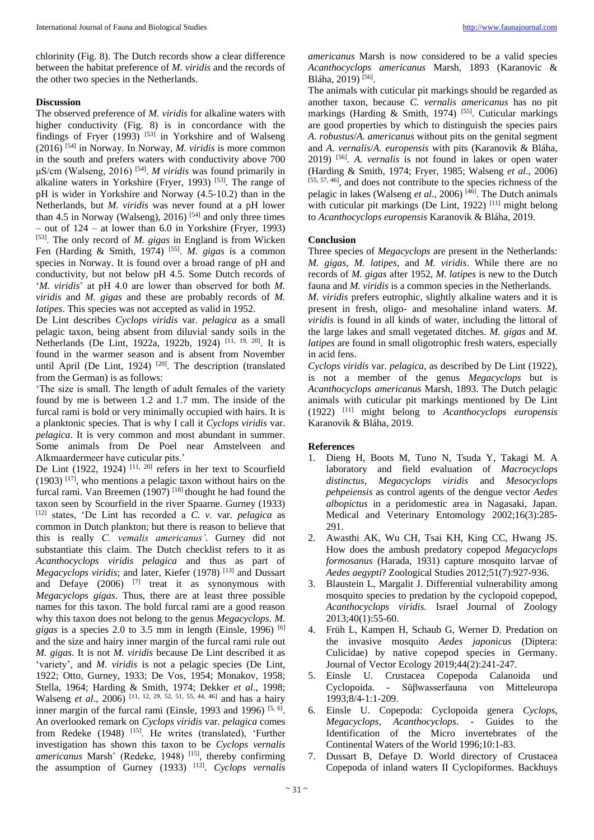chlorinity (Fig. 8). The Dutch records show a clear difference between the habitat preference of *M. viridis* and the records of the other two species in the Netherlands.

# **Discussion**

The observed preference of *M. viridis* for alkaline waters with higher conductivity (Fig. 8) is in concordance with the findings of Fryer  $(1993)$ <sup>[53]</sup> in Yorkshire and of Walseng (2016) [54] in Norway. In Norway, *M. viridis* is more common in the south and prefers waters with conductivity above 700 μS/cm (Walseng, 2016)<sup>[54]</sup>. *M viridis* was found primarily in alkaline waters in Yorkshire (Fryer, 1993)  $[53]$ . The range of pH is wider in Yorkshire and Norway (4.5-10.2) than in the Netherlands, but *M. viridis* was never found at a pH lower than 4.5 in Norway (Walseng), 2016)  $[54]$  and only three times – out of 124 – at lower than 6.0 in Yorkshire (Fryer, 1993) [53]. The only record of *M. gigas* in England is from Wicken Fen (Harding & Smith, 1974)<sup>[55]</sup>. *M. gigas* is a common species in Norway. It is found over a broad range of pH and conductivity, but not below pH 4.5. Some Dutch records of '*M. viridis*' at pH 4.0 are lower than observed for both *M. viridis* and *M. gigas* and these are probably records of *M. latipes*. This species was not accepted as valid in 1952.

De Lint describes *Cyclops viridis* var. *pelagica* as a small pelagic taxon, being absent from diluvial sandy soils in the Netherlands (De Lint, 1922a, 1922b, 1924) [11, 19, 20]. It is found in the warmer season and is absent from November until April (De Lint, 1924)  $[20]$ . The description (translated from the German) is as follows:

'The size is small. The length of adult females of the variety found by me is between 1.2 and 1.7 mm. The inside of the furcal rami is bold or very minimally occupied with hairs. It is a planktonic species. That is why I call it *Cyclops viridis* var. *pelagica*. It is very common and most abundant in summer. Some animals from De Poel near Amstelveen and Alkmaardermeer have cuticular pits.'

De Lint (1922, 1924)  $[11, 20]$  refers in her text to Scourfield  $(1903)$ <sup>[17]</sup>, who mentions a pelagic taxon without hairs on the furcal rami. Van Breemen  $(1907)$  [18] thought he had found the taxon seen by Scourfield in the river Spaarne. Gurney (1933) [12] states, 'De Lint has recorded a *C. v.* var. *pelagica* as common in Dutch plankton; but there is reason to believe that this is really *C. vemalis americanus'*. Gurney did not substantiate this claim. The Dutch checklist refers to it as *Acanthocyclops viridis pelagica* and thus as part of *Megacyclops viridis*; and later, Kiefer (1978)<sup>[13]</sup> and Dussart and Defaye  $(2006)$  <sup>[7]</sup> treat it as synonymous with *Megacyclops gigas*. Thus, there are at least three possible names for this taxon. The bold furcal rami are a good reason why this taxon does not belong to the genus *Megacyclops*. *M. gigas* is a species 2.0 to 3.5 mm in length (Einsle, 1996)  $[6]$ and the size and hairy inner margin of the furcal rami rule out *M. gigas*. It is not *M. viridis* because De Lint described it as 'variety', and *M. viridis* is not a pelagic species (De Lint, 1922; Otto, Gurney, 1933; De Vos, 1954; Monakov, 1958; Stella, 1964; Harding & Smith, 1974; Dekker *et al*., 1998; Walseng *et al.*, 2006) <sup>[11, 12, 29, 52, 51, 55, 44, 46] and has a hairy</sup> inner margin of the furcal rami (Einsle, 1993 and 1996)  $[5, 6]$ . An overlooked remark on *Cyclops viridis* var. *pelagica* comes from Redeke (1948) <sup>[15]</sup>. He writes (translated), 'Further investigation has shown this taxon to be *Cyclops vernalis americanus* Marsh' (Redeke, 1948) [15], thereby confirming the assumption of Gurney (1933) [12] . *Cyclops vernalis*  *americanus* Marsh is now considered to be a valid species *Acanthocyclops americanus* Marsh, 1893 (Karanovic & Bláha, 2019)<sup>[56]</sup>.

The animals with cuticular pit markings should be regarded as another taxon, because *C. vernalis americanus* has no pit markings (Harding  $\&$  Smith, 1974)<sup>[55]</sup>. Cuticular markings are good properties by which to distinguish the species pairs *A. robustus*/*A. americanus* without pits on the genital segment and *A. vernalis*/*A. europensis* with pits (Karanovik & Bláha, 2019) [56] . *A. vernalis* is not found in lakes or open water (Harding & Smith, 1974; Fryer, 1985; Walseng *et al*., 2006)  $[55, 57, 46]$ , and does not contribute to the species richness of the pelagic in lakes (Walseng *et al*., 2006) [46]. The Dutch animals with cuticular pit markings (De Lint, 1922)  $[11]$  might belong to *Acanthocyclops europensis* Karanovik & Bláha, 2019.

# **Conclusion**

Three species of *Megacyclops* are present in the Netherlands: *M. gigas*, *M. latipes,* and *M. viridis*. While there are no records of *M. gigas* after 1952, *M. latipes* is new to the Dutch fauna and *M. viridis* is a common species in the Netherlands.

*M. viridis* prefers eutrophic, slightly alkaline waters and it is present in fresh, oligo- and mesohaline inland waters. *M. viridis* is found in all kinds of water, including the littoral of the large lakes and small vegetated ditches. *M. gigas* and *M. latipes* are found in small oligotrophic fresh waters, especially in acid fens.

*Cyclops viridis* var. *pelagica,* as described by De Lint (1922), is not a member of the genus *Megacyclops* but is *Acanthocyclops americanus* Marsh, 1893. The Dutch pelagic animals with cuticular pit markings mentioned by De Lint (1922) [11] might belong to *Acanthocyclops europensis* Karanovik & Bláha, 2019.

# **References**

- 1. Dieng H, Boots M, Tuno N, Tsuda Y, Takagi M. A laboratory and field evaluation of *Macrocyclops distinctus, Megacyclops viridis* and *Mesocyclops pehpeiensis* as control agents of the dengue vector *Aedes albopictus* in a peridomestic area in Nagasaki, Japan. Medical and Veterinary Entomology 2002;16(3):285- 291.
- 2. Awasthi AK, Wu CH, Tsai KH, King CC, Hwang JS. How does the ambush predatory copepod *Megacyclops formosanus* (Harada, 1931) capture mosquito larvae of *Aedes aegypti*? Zoological Studies 2012;51(7):927-936.
- 3. Blaustein L, Margalit J. Differential vulnerability among mosquito species to predation by the cyclopoid copepod, *Acanthocyclops viridis.* Israel Journal of Zoology 2013;40(1):55-60.
- 4. Früh L, Kampen H, Schaub G, Werner D. Predation on the invasive mosquito *Aedes japonicus* (Diptera: Culicidae) by native copepod species in Germany. Journal of Vector Ecology 2019;44(2):241-247.
- 5. Einsle U. Crustacea Copepoda Calanoida und Cyclopoida. - Süβwasserfauna von Mitteleuropa 1993;8/4-1:1-209.
- 6. Einsle U. Copepoda: Cyclopoida genera *Cyclops*, *Megacyclops*, *Acanthocyclops*. - Guides to the Identification of the Micro invertebrates of the Continental Waters of the World 1996;10:1-83.
- 7. Dussart B, Defaye D. World directory of Crustacea Copepoda of inland waters II Cyclopiformes. Backhuys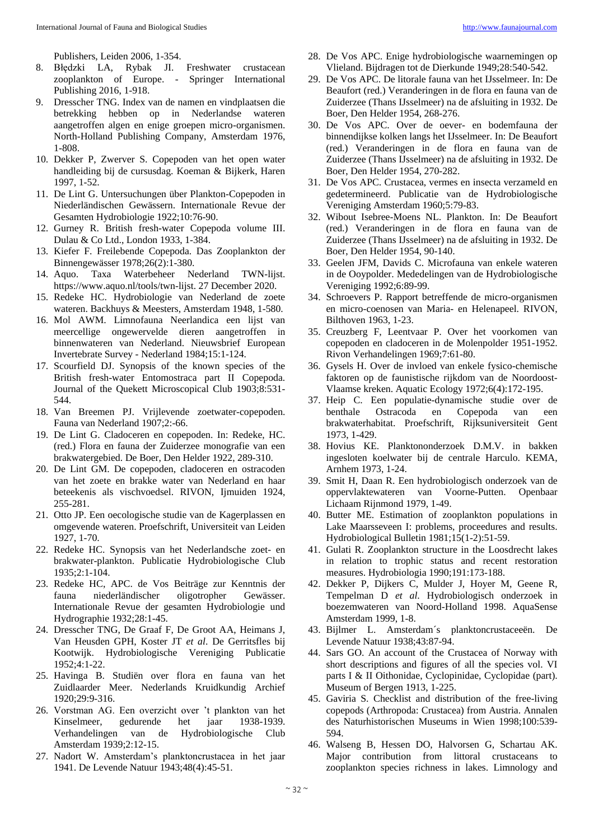Publishers, Leiden 2006, 1-354.

- 8. Błędzki LA, Rybak JI. Freshwater crustacean zooplankton of Europe. - Springer International Publishing 2016, 1-918.
- 9. Dresscher TNG. Index van de namen en vindplaatsen die betrekking hebben op in Nederlandse wateren aangetroffen algen en enige groepen micro-organismen. North-Holland Publishing Company, Amsterdam 1976, 1-808.
- 10. Dekker P, Zwerver S. Copepoden van het open water handleiding bij de cursusdag. Koeman & Bijkerk, Haren 1997, 1-52.
- 11. De Lint G. Untersuchungen über Plankton-Copepoden in Niederländischen Gewässern. Internationale Revue der Gesamten Hydrobiologie 1922;10:76-90.
- 12. Gurney R. British fresh-water Copepoda volume III. Dulau & Co Ltd., London 1933, 1-384.
- 13. Kiefer F. Freilebende Copepoda. Das Zooplankton der Binnengewässer 1978;26(2):1-380.
- 14. Aquo. Taxa Waterbeheer Nederland TWN-lijst. https://www.aquo.nl/tools/twn-lijst. 27 December 2020.
- 15. Redeke HC. Hydrobiologie van Nederland de zoete wateren. Backhuys & Meesters, Amsterdam 1948, 1-580.
- 16. Mol AWM. Limnofauna Neerlandica een lijst van meercellige ongewervelde dieren aangetroffen in binnenwateren van Nederland. Nieuwsbrief European Invertebrate Survey - Nederland 1984;15:1-124.
- 17. Scourfield DJ. Synopsis of the known species of the British fresh-water Entomostraca part II Copepoda. Journal of the Quekett Microscopical Club 1903;8:531- 544.
- 18. Van Breemen PJ. Vrijlevende zoetwater-copepoden. Fauna van Nederland 1907;2:-66.
- 19. De Lint G. Cladoceren en copepoden. In: Redeke, HC. (red.) Flora en fauna der Zuiderzee monografie van een brakwatergebied. De Boer, Den Helder 1922, 289-310.
- 20. De Lint GM. De copepoden, cladoceren en ostracoden van het zoete en brakke water van Nederland en haar beteekenis als vischvoedsel. RIVON, Ijmuiden 1924, 255-281.
- 21. Otto JP. Een oecologische studie van de Kagerplassen en omgevende wateren. Proefschrift, Universiteit van Leiden 1927, 1-70.
- 22. Redeke HC. Synopsis van het Nederlandsche zoet- en brakwater-plankton. Publicatie Hydrobiologische Club 1935;2:1-104.
- 23. Redeke HC, APC. de Vos Beiträge zur Kenntnis der fauna niederländischer oligotropher Gewässer. Internationale Revue der gesamten Hydrobiologie und Hydrographie 1932;28:1-45.
- 24. Dresscher TNG, De Graaf F, De Groot AA, Heimans J, Van Heusden GPH, Koster JT *et al*. De Gerritsfles bij Kootwijk. Hydrobiologische Vereniging Publicatie 1952;4:1-22.
- 25. Havinga B. Studiën over flora en fauna van het Zuidlaarder Meer. Nederlands Kruidkundig Archief 1920;29:9-316.
- 26. Vorstman AG. Een overzicht over 't plankton van het Kinselmeer, gedurende het jaar 1938-1939. Verhandelingen van de Hydrobiologische Club Amsterdam 1939;2:12-15.
- 27. Nadort W. Amsterdam's planktoncrustacea in het jaar 1941. De Levende Natuur 1943;48(4):45-51.
- 28. De Vos APC. Enige hydrobiologische waarnemingen op Vlieland. Bijdragen tot de Dierkunde 1949;28:540-542.
- 29. De Vos APC. De litorale fauna van het IJsselmeer. In: De Beaufort (red.) Veranderingen in de flora en fauna van de Zuiderzee (Thans IJsselmeer) na de afsluiting in 1932. De Boer, Den Helder 1954, 268-276.
- 30. De Vos APC. Over de oever- en bodemfauna der binnendijkse kolken langs het IJsselmeer. In: De Beaufort (red.) Veranderingen in de flora en fauna van de Zuiderzee (Thans IJsselmeer) na de afsluiting in 1932. De Boer, Den Helder 1954, 270-282.
- 31. De Vos APC. Crustacea, vermes en insecta verzameld en gedetermineerd. Publicatie van de Hydrobiologische Vereniging Amsterdam 1960;5:79-83.
- 32. Wibout Isebree-Moens NL. Plankton. In: De Beaufort (red.) Veranderingen in de flora en fauna van de Zuiderzee (Thans IJsselmeer) na de afsluiting in 1932. De Boer, Den Helder 1954, 90-140.
- 33. Geelen JFM, Davids C. Microfauna van enkele wateren in de Ooypolder. Mededelingen van de Hydrobiologische Vereniging 1992;6:89-99.
- 34. Schroevers P. Rapport betreffende de micro-organismen en micro-coenosen van Maria- en Helenapeel. RIVON, Bilthoven 1963, 1-23.
- 35. Creuzberg F, Leentvaar P. Over het voorkomen van copepoden en cladoceren in de Molenpolder 1951-1952. Rivon Verhandelingen 1969;7:61-80.
- 36. Gysels H. Over de invloed van enkele fysico-chemische faktoren op de faunistische rijkdom van de Noordoost-Vlaamse kreken. Aquatic Ecology 1972;6(4):172-195.
- 37. Heip C. Een populatie-dynamische studie over de benthale Ostracoda en Copepoda van een brakwaterhabitat. Proefschrift, Rijksuniversiteit Gent 1973, 1-429.
- 38. Hovius KE. Planktononderzoek D.M.V. in bakken ingesloten koelwater bij de centrale Harculo. KEMA, Arnhem 1973, 1-24.
- 39. Smit H, Daan R. Een hydrobiologisch onderzoek van de oppervlaktewateren van Voorne-Putten. Openbaar Lichaam Rijnmond 1979, 1-49.
- 40. Butter ME. Estimation of zooplankton populations in Lake Maarsseveen I: problems, proceedures and results. Hydrobiological Bulletin 1981;15(1-2):51-59.
- 41. Gulati R. Zooplankton structure in the Loosdrecht lakes in relation to trophic status and recent restoration measures. Hydrobiologia 1990;191:173-188.
- 42. Dekker P, Dijkers C, Mulder J, Hoyer M, Geene R, Tempelman D *et al*. Hydrobiologisch onderzoek in boezemwateren van Noord-Holland 1998. AquaSense Amsterdam 1999, 1-8.
- 43. Bijlmer L. Amsterdam´s planktoncrustaceeën. De Levende Natuur 1938;43:87-94.
- 44. Sars GO. An account of the Crustacea of Norway with short descriptions and figures of all the species vol. VI parts I & II Oithonidae, Cyclopinidae, Cyclopidae (part). Museum of Bergen 1913, 1-225.
- 45. Gaviria S. Checklist and distribution of the free-living copepods (Arthropoda: Crustacea) from Austria. Annalen des Naturhistorischen Museums in Wien 1998;100:539- 594.
- 46. Walseng B, Hessen DO, Halvorsen G, Schartau AK. Major contribution from littoral crustaceans to zooplankton species richness in lakes. Limnology and